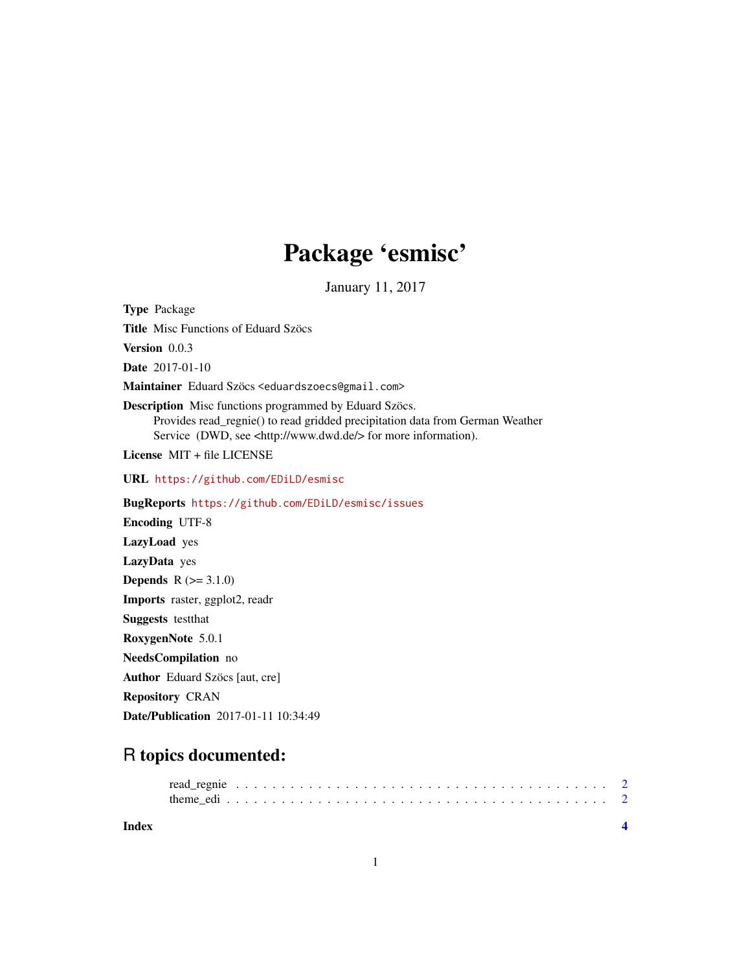## Package 'esmisc'

January 11, 2017

Type Package Title Misc Functions of Eduard Szöcs Version 0.0.3 Date 2017-01-10 Maintainer Eduard Szöcs <eduardszoecs@gmail.com> Description Misc functions programmed by Eduard Szöcs. Provides read\_regnie() to read gridded precipitation data from German Weather Service (DWD, see <http://www.dwd.de/> for more information). License MIT + file LICENSE URL <https://github.com/EDiLD/esmisc> BugReports <https://github.com/EDiLD/esmisc/issues> Encoding UTF-8 LazyLoad yes LazyData yes **Depends**  $R$  ( $>= 3.1.0$ ) Imports raster, ggplot2, readr Suggests testthat RoxygenNote 5.0.1 NeedsCompilation no Author Eduard Szöcs [aut, cre] Repository CRAN Date/Publication 2017-01-11 10:34:49

### R topics documented:

| Index |  |  |  |  |  |  |  |  |  |  |  |  |  |  |  |  |  |  |  |  |
|-------|--|--|--|--|--|--|--|--|--|--|--|--|--|--|--|--|--|--|--|--|
|       |  |  |  |  |  |  |  |  |  |  |  |  |  |  |  |  |  |  |  |  |

1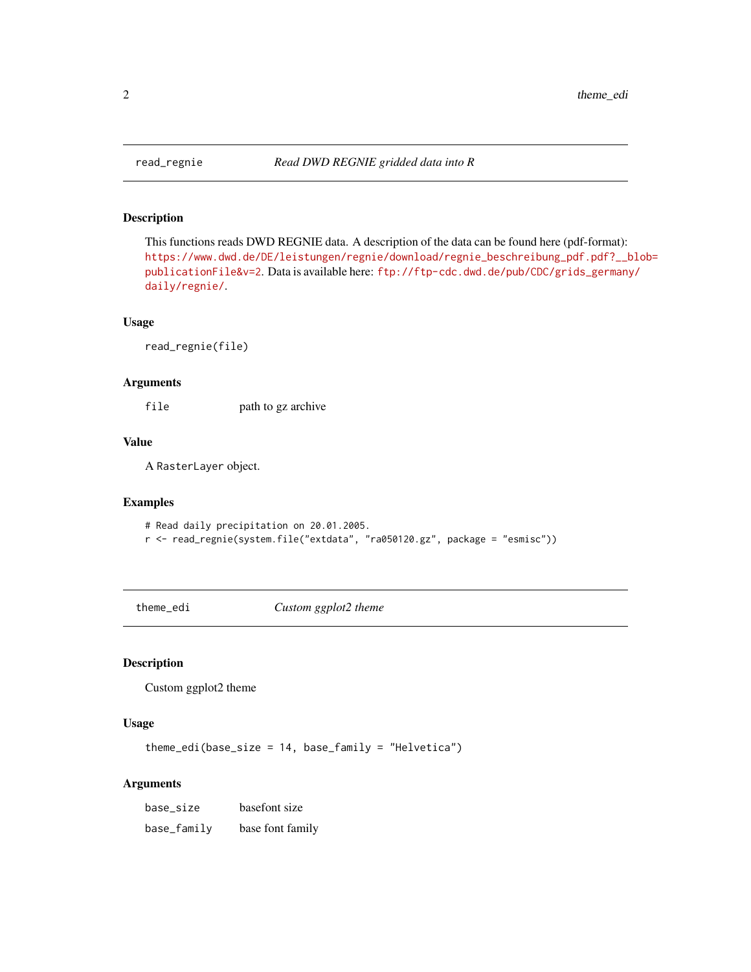#### Description

This functions reads DWD REGNIE data. A description of the data can be found here (pdf-format): [https://www.dwd.de/DE/leistungen/regnie/download/regnie\\_beschreibung\\_pdf.pdf?\\_\\_b](https://www.dwd.de/DE/leistungen/regnie/download/regnie_beschreibung_pdf.pdf?__blob=publicationFile&v=2)lob= [publicationFile&v=2](https://www.dwd.de/DE/leistungen/regnie/download/regnie_beschreibung_pdf.pdf?__blob=publicationFile&v=2). Data is available here: [ftp://ftp-cdc.dwd.de/pub/CDC/grids\\_germany](ftp://ftp-cdc.dwd.de/pub/CDC/grids_germany/daily/regnie/)/ [daily/regnie/](ftp://ftp-cdc.dwd.de/pub/CDC/grids_germany/daily/regnie/).

#### Usage

read\_regnie(file)

#### Arguments

file path to gz archive

#### Value

A RasterLayer object.

#### Examples

```
# Read daily precipitation on 20.01.2005.
```
r <- read\_regnie(system.file("extdata", "ra050120.gz", package = "esmisc"))

theme\_edi *Custom ggplot2 theme*

#### Description

Custom ggplot2 theme

#### Usage

theme\_edi(base\_size =  $14$ , base\_family = "Helvetica")

#### Arguments

| base_size   | basefont size    |
|-------------|------------------|
| base_family | base font family |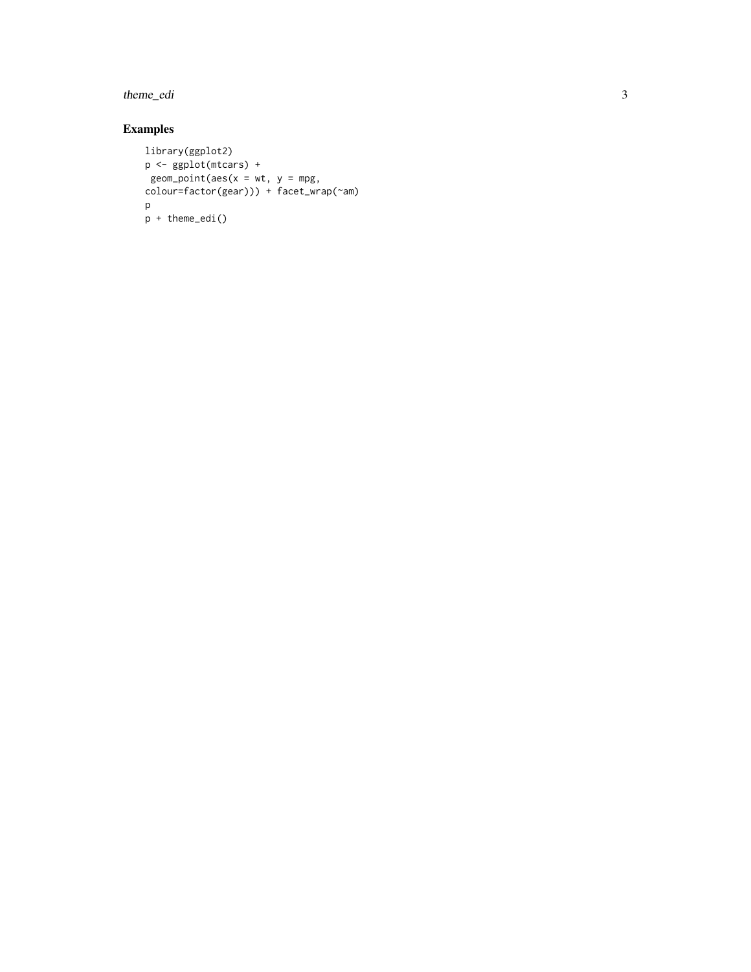theme\_edi

#### Examples

```
library(ggplot2)
p <- ggplot(mtcars) +
 geom\_point(aes(x = wt, y = mpg,colour=factor(gear))) + facet_wrap(~am) p
p + theme_edi()
```